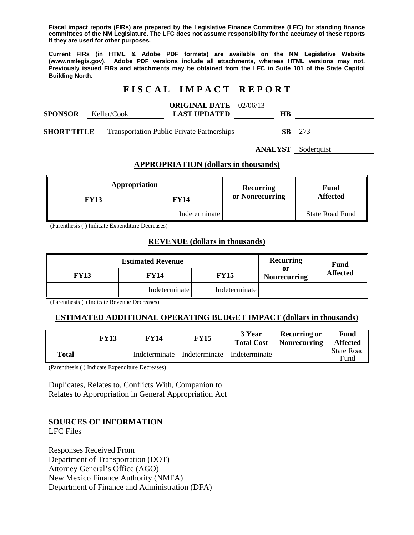**Fiscal impact reports (FIRs) are prepared by the Legislative Finance Committee (LFC) for standing finance committees of the NM Legislature. The LFC does not assume responsibility for the accuracy of these reports if they are used for other purposes.** 

**Current FIRs (in HTML & Adobe PDF formats) are available on the NM Legislative Website (www.nmlegis.gov). Adobe PDF versions include all attachments, whereas HTML versions may not. Previously issued FIRs and attachments may be obtained from the LFC in Suite 101 of the State Capitol Building North.**

# **F I S C A L I M P A C T R E P O R T**

| SPONSOR     | Keller/Cook | <b>ORIGINAL DATE</b> 02/06/13<br><b>LAST UPDATED</b> | HВ |     |
|-------------|-------------|------------------------------------------------------|----|-----|
| SHORT TITLE |             | <b>Transportation Public-Private Partnerships</b>    | SВ | 273 |

**ANALYST** Soderquist

#### **APPROPRIATION (dollars in thousands)**

| Appropriation |               | <b>Recurring</b> | Fund<br><b>Affected</b> |  |
|---------------|---------------|------------------|-------------------------|--|
| <b>FY13</b>   | <b>FY14</b>   | or Nonrecurring  |                         |  |
|               | Indeterminate |                  | <b>State Road Fund</b>  |  |

(Parenthesis ( ) Indicate Expenditure Decreases)

#### **REVENUE (dollars in thousands)**

|                     | <b>Recurring</b> | <b>Fund</b>   |                           |                 |  |
|---------------------|------------------|---------------|---------------------------|-----------------|--|
| FY14<br><b>FY13</b> |                  | FY15          | or<br><b>Nonrecurring</b> | <b>Affected</b> |  |
|                     | Indeterminate    | Indeterminate |                           |                 |  |

(Parenthesis ( ) Indicate Revenue Decreases)

## **ESTIMATED ADDITIONAL OPERATING BUDGET IMPACT (dollars in thousands)**

|       | FY13 | FY14 | FY15                                          | 3 Year<br><b>Total Cost</b> | <b>Recurring or</b><br><b>Nonrecurring</b> | Fund<br><b>Affected</b> |
|-------|------|------|-----------------------------------------------|-----------------------------|--------------------------------------------|-------------------------|
| Total |      |      | Indeterminate   Indeterminate   Indeterminate |                             |                                            | State Road<br>Fund      |

(Parenthesis ( ) Indicate Expenditure Decreases)

Duplicates, Relates to, Conflicts With, Companion to Relates to Appropriation in General Appropriation Act

## **SOURCES OF INFORMATION**

LFC Files

Responses Received From Department of Transportation (DOT) Attorney General's Office (AGO) New Mexico Finance Authority (NMFA) Department of Finance and Administration (DFA)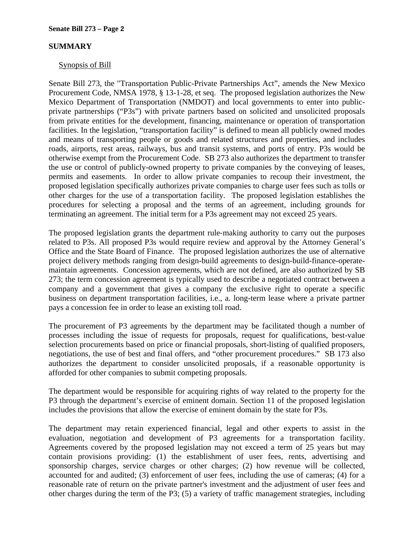## **SUMMARY**

#### Synopsis of Bill

Senate Bill 273, the "Transportation Public-Private Partnerships Act", amends the New Mexico Procurement Code, NMSA 1978, § 13-1-28, et seq. The proposed legislation authorizes the New Mexico Department of Transportation (NMDOT) and local governments to enter into publicprivate partnerships ("P3s") with private partners based on solicited and unsolicited proposals from private entities for the development, financing, maintenance or operation of transportation facilities. In the legislation, "transportation facility" is defined to mean all publicly owned modes and means of transporting people or goods and related structures and properties, and includes roads, airports, rest areas, railways, bus and transit systems, and ports of entry. P3s would be otherwise exempt from the Procurement Code. SB 273 also authorizes the department to transfer the use or control of publicly-owned property to private companies by the conveying of leases, permits and easements. In order to allow private companies to recoup their investment, the proposed legislation specifically authorizes private companies to charge user fees such as tolls or other charges for the use of a transportation facility. The proposed legislation establishes the procedures for selecting a proposal and the terms of an agreement, including grounds for terminating an agreement. The initial term for a P3s agreement may not exceed 25 years.

The proposed legislation grants the department rule-making authority to carry out the purposes related to P3s. All proposed P3s would require review and approval by the Attorney General's Office and the State Board of Finance. The proposed legislation authorizes the use of alternative project delivery methods ranging from design-build agreements to design-build-finance-operatemaintain agreements. Concession agreements, which are not defined, are also authorized by SB 273; the term concession agreement is typically used to describe a negotiated contract between a company and a government that gives a company the exclusive right to operate a specific business on department transportation facilities, i.e., a. long-term lease where a private partner pays a concession fee in order to lease an existing toll road.

The procurement of P3 agreements by the department may be facilitated though a number of processes including the issue of requests for proposals, request for qualifications, best-value selection procurements based on price or financial proposals, short-listing of qualified proposers, negotiations, the use of best and final offers, and "other procurement procedures." SB 173 also authorizes the department to consider unsolicited proposals, if a reasonable opportunity is afforded for other companies to submit competing proposals.

The department would be responsible for acquiring rights of way related to the property for the P3 through the department's exercise of eminent domain. Section 11 of the proposed legislation includes the provisions that allow the exercise of eminent domain by the state for P3s.

The department may retain experienced financial, legal and other experts to assist in the evaluation, negotiation and development of P3 agreements for a transportation facility. Agreements covered by the proposed legislation may not exceed a term of 25 years but may contain provisions providing: (1) the establishment of user fees, rents, advertising and sponsorship charges, service charges or other charges; (2) how revenue will be collected, accounted for and audited; (3) enforcement of user fees, including the use of cameras; (4) for a reasonable rate of return on the private partner's investment and the adjustment of user fees and other charges during the term of the P3; (5) a variety of traffic management strategies, including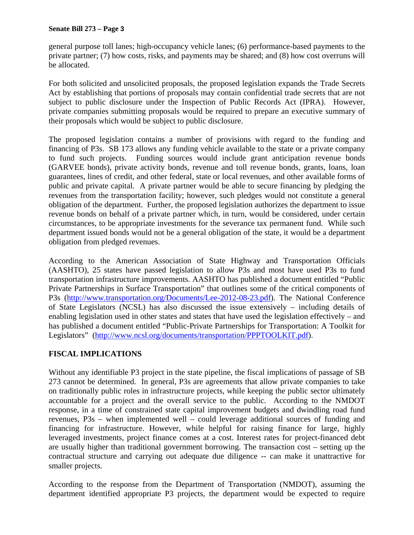general purpose toll lanes; high-occupancy vehicle lanes; (6) performance-based payments to the private partner; (7) how costs, risks, and payments may be shared; and (8) how cost overruns will be allocated.

For both solicited and unsolicited proposals, the proposed legislation expands the Trade Secrets Act by establishing that portions of proposals may contain confidential trade secrets that are not subject to public disclosure under the Inspection of Public Records Act (IPRA). However, private companies submitting proposals would be required to prepare an executive summary of their proposals which would be subject to public disclosure.

The proposed legislation contains a number of provisions with regard to the funding and financing of P3s. SB 173 allows any funding vehicle available to the state or a private company to fund such projects. Funding sources would include grant anticipation revenue bonds (GARVEE bonds), private activity bonds, revenue and toll revenue bonds, grants, loans, loan guarantees, lines of credit, and other federal, state or local revenues, and other available forms of public and private capital. A private partner would be able to secure financing by pledging the revenues from the transportation facility; however, such pledges would not constitute a general obligation of the department. Further, the proposed legislation authorizes the department to issue revenue bonds on behalf of a private partner which, in turn, would be considered, under certain circumstances, to be appropriate investments for the severance tax permanent fund. While such department issued bonds would not be a general obligation of the state, it would be a department obligation from pledged revenues.

According to the American Association of State Highway and Transportation Officials (AASHTO), 25 states have passed legislation to allow P3s and most have used P3s to fund transportation infrastructure improvements. AASHTO has published a document entitled "Public Private Partnerships in Surface Transportation" that outlines some of the critical components of P3s (http://www.transportation.org/Documents/Lee-2012-08-23.pdf). The National Conference of State Legislators (NCSL) has also discussed the issue extensively – including details of enabling legislation used in other states and states that have used the legislation effectively – and has published a document entitled "Public-Private Partnerships for Transportation: A Toolkit for Legislators" (http://www.ncsl.org/documents/transportation/PPPTOOLKIT.pdf).

# **FISCAL IMPLICATIONS**

Without any identifiable P3 project in the state pipeline, the fiscal implications of passage of SB 273 cannot be determined. In general, P3s are agreements that allow private companies to take on traditionally public roles in infrastructure projects, while keeping the public sector ultimately accountable for a project and the overall service to the public. According to the NMDOT response, in a time of constrained state capital improvement budgets and dwindling road fund revenues, P3s – when implemented well – could leverage additional sources of funding and financing for infrastructure. However, while helpful for raising finance for large, highly leveraged investments, project finance comes at a cost. Interest rates for project-financed debt are usually higher than traditional government borrowing. The transaction cost – setting up the contractual structure and carrying out adequate due diligence -- can make it unattractive for smaller projects.

According to the response from the Department of Transportation (NMDOT), assuming the department identified appropriate P3 projects, the department would be expected to require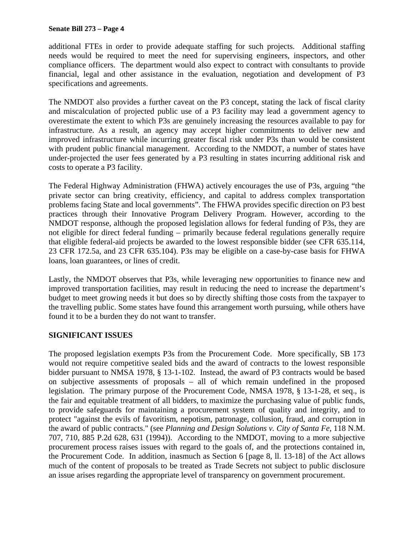#### **Senate Bill 273 – Page 4**

additional FTEs in order to provide adequate staffing for such projects. Additional staffing needs would be required to meet the need for supervising engineers, inspectors, and other compliance officers. The department would also expect to contract with consultants to provide financial, legal and other assistance in the evaluation, negotiation and development of P3 specifications and agreements.

The NMDOT also provides a further caveat on the P3 concept, stating the lack of fiscal clarity and miscalculation of projected public use of a P3 facility may lead a government agency to overestimate the extent to which P3s are genuinely increasing the resources available to pay for infrastructure. As a result, an agency may accept higher commitments to deliver new and improved infrastructure while incurring greater fiscal risk under P3s than would be consistent with prudent public financial management. According to the NMDOT, a number of states have under-projected the user fees generated by a P3 resulting in states incurring additional risk and costs to operate a P3 facility.

The Federal Highway Administration (FHWA) actively encourages the use of P3s, arguing "the private sector can bring creativity, efficiency, and capital to address complex transportation problems facing State and local governments". The FHWA provides specific direction on P3 best practices through their Innovative Program Delivery Program. However, according to the NMDOT response, although the proposed legislation allows for federal funding of P3s, they are not eligible for direct federal funding – primarily because federal regulations generally require that eligible federal-aid projects be awarded to the lowest responsible bidder (see CFR 635.114, 23 CFR 172.5a, and 23 CFR 635.104). P3s may be eligible on a case-by-case basis for FHWA loans, loan guarantees, or lines of credit.

Lastly, the NMDOT observes that P3s, while leveraging new opportunities to finance new and improved transportation facilities, may result in reducing the need to increase the department's budget to meet growing needs it but does so by directly shifting those costs from the taxpayer to the travelling public. Some states have found this arrangement worth pursuing, while others have found it to be a burden they do not want to transfer.

## **SIGNIFICANT ISSUES**

The proposed legislation exempts P3s from the Procurement Code. More specifically, SB 173 would not require competitive sealed bids and the award of contracts to the lowest responsible bidder pursuant to NMSA 1978, § 13-1-102. Instead, the award of P3 contracts would be based on subjective assessments of proposals – all of which remain undefined in the proposed legislation. The primary purpose of the Procurement Code, NMSA 1978, § 13-1-28, et seq., is the fair and equitable treatment of all bidders, to maximize the purchasing value of public funds, to provide safeguards for maintaining a procurement system of quality and integrity, and to protect "against the evils of favoritism, nepotism, patronage, collusion, fraud, and corruption in the award of public contracts." (see *Planning and Design Solutions v. City of Santa Fe*, 118 N.M. 707, 710, 885 P.2d 628, 631 (1994)). According to the NMDOT, moving to a more subjective procurement process raises issues with regard to the goals of, and the protections contained in, the Procurement Code. In addition, inasmuch as Section 6 [page 8, ll. 13-18] of the Act allows much of the content of proposals to be treated as Trade Secrets not subject to public disclosure an issue arises regarding the appropriate level of transparency on government procurement.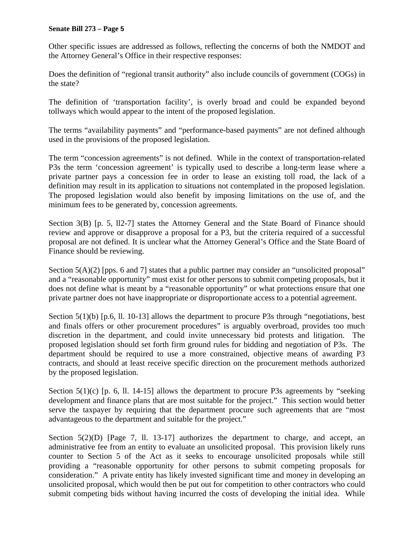#### **Senate Bill 273 – Page 5**

Other specific issues are addressed as follows, reflecting the concerns of both the NMDOT and the Attorney General's Office in their respective responses:

Does the definition of "regional transit authority" also include councils of government (COGs) in the state?

The definition of 'transportation facility', is overly broad and could be expanded beyond tollways which would appear to the intent of the proposed legislation.

The terms "availability payments" and "performance-based payments" are not defined although used in the provisions of the proposed legislation.

The term "concession agreements" is not defined. While in the context of transportation-related P3s the term 'concession agreement' is typically used to describe a long-term lease where a private partner pays a concession fee in order to lease an existing toll road, the lack of a definition may result in its application to situations not contemplated in the proposed legislation. The proposed legislation would also benefit by imposing limitations on the use of, and the minimum fees to be generated by, concession agreements.

Section 3(B) [p. 5, ll2-7] states the Attorney General and the State Board of Finance should review and approve or disapprove a proposal for a P3, but the criteria required of a successful proposal are not defined. It is unclear what the Attorney General's Office and the State Board of Finance should be reviewing.

Section 5(A)(2) [pps. 6 and 7] states that a public partner may consider an "unsolicited proposal" and a "reasonable opportunity" must exist for other persons to submit competing proposals, but it does not define what is meant by a "reasonable opportunity" or what protections ensure that one private partner does not have inappropriate or disproportionate access to a potential agreement.

Section 5(1)(b) [p.6, ll. 10-13] allows the department to procure P3s through "negotiations, best and finals offers or other procurement procedures" is arguably overbroad, provides too much discretion in the department, and could invite unnecessary bid protests and litigation. The proposed legislation should set forth firm ground rules for bidding and negotiation of P3s. The department should be required to use a more constrained, objective means of awarding P3 contracts, and should at least receive specific direction on the procurement methods authorized by the proposed legislation.

Section  $5(1)(c)$  [p. 6, ll. 14-15] allows the department to procure P3s agreements by "seeking development and finance plans that are most suitable for the project." This section would better serve the taxpayer by requiring that the department procure such agreements that are "most advantageous to the department and suitable for the project."

Section  $5(2)(D)$  [Page 7, 11. 13-17] authorizes the department to charge, and accept, an administrative fee from an entity to evaluate an unsolicited proposal. This provision likely runs counter to Section 5 of the Act as it seeks to encourage unsolicited proposals while still providing a "reasonable opportunity for other persons to submit competing proposals for consideration." A private entity has likely invested significant time and money in developing an unsolicited proposal, which would then be put out for competition to other contractors who could submit competing bids without having incurred the costs of developing the initial idea. While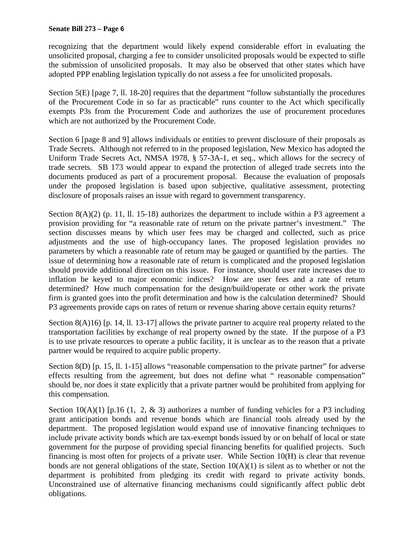recognizing that the department would likely expend considerable effort in evaluating the unsolicited proposal, charging a fee to consider unsolicited proposals would be expected to stifle the submission of unsolicited proposals. It may also be observed that other states which have adopted PPP enabling legislation typically do not assess a fee for unsolicited proposals.

Section 5(E) [page 7, ll. 18-20] requires that the department "follow substantially the procedures of the Procurement Code in so far as practicable" runs counter to the Act which specifically exempts P3s from the Procurement Code and authorizes the use of procurement procedures which are not authorized by the Procurement Code.

Section 6 [page 8 and 9] allows individuals or entities to prevent disclosure of their proposals as Trade Secrets. Although not referred to in the proposed legislation, New Mexico has adopted the Uniform Trade Secrets Act, NMSA 1978, § 57-3A-1, et seq., which allows for the secrecy of trade secrets. SB 173 would appear to expand the protection of alleged trade secrets into the documents produced as part of a procurement proposal. Because the evaluation of proposals under the proposed legislation is based upon subjective, qualitative assessment, protecting disclosure of proposals raises an issue with regard to government transparency.

Section 8(A)(2) (p. 11, ll. 15-18) authorizes the department to include within a P3 agreement a provision providing for "a reasonable rate of return on the private partner's investment." The section discusses means by which user fees may be charged and collected, such as price adjustments and the use of high-occupancy lanes. The proposed legislation provides no parameters by which a reasonable rate of return may be gauged or quantified by the parties. The issue of determining how a reasonable rate of return is complicated and the proposed legislation should provide additional direction on this issue. For instance, should user rate increases due to inflation be keyed to major economic indices? How are user fees and a rate of return determined? How much compensation for the design/build/operate or other work the private firm is granted goes into the profit determination and how is the calculation determined? Should P3 agreements provide caps on rates of return or revenue sharing above certain equity returns?

Section 8(A)16) [p. 14, ll. 13-17] allows the private partner to acquire real property related to the transportation facilities by exchange of real property owned by the state. If the purpose of a P3 is to use private resources to operate a public facility, it is unclear as to the reason that a private partner would be required to acquire public property.

Section 8(D) [p. 15, ll. 1-15] allows "reasonable compensation to the private partner" for adverse effects resulting from the agreement, but does not define what " reasonable compensation" should be, nor does it state explicitly that a private partner would be prohibited from applying for this compensation.

Section  $10(A)(1)$  [p.16 (1, 2, & 3) authorizes a number of funding vehicles for a P3 including grant anticipation bonds and revenue bonds which are financial tools already used by the department. The proposed legislation would expand use of innovative financing techniques to include private activity bonds which are tax-exempt bonds issued by or on behalf of local or state government for the purpose of providing special financing benefits for qualified projects. Such financing is most often for projects of a private user. While Section 10(H) is clear that revenue bonds are not general obligations of the state, Section  $10(A)(1)$  is silent as to whether or not the department is prohibited from pledging its credit with regard to private activity bonds. Unconstrained use of alternative financing mechanisms could significantly affect public debt obligations.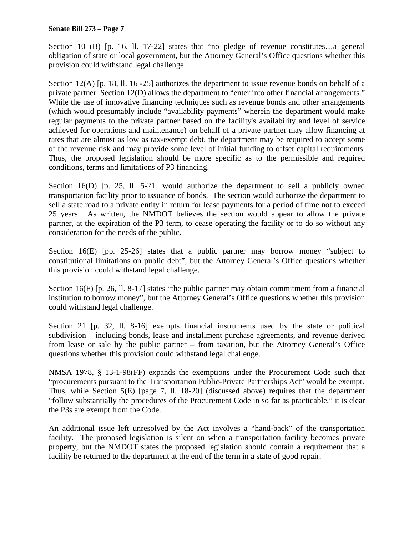#### **Senate Bill 273 – Page 7**

Section 10 (B) [p. 16, 11, 17-22] states that "no pledge of revenue constitutes...a general obligation of state or local government, but the Attorney General's Office questions whether this provision could withstand legal challenge.

Section 12(A) [p. 18, ll. 16 -25] authorizes the department to issue revenue bonds on behalf of a private partner. Section 12(D) allows the department to "enter into other financial arrangements." While the use of innovative financing techniques such as revenue bonds and other arrangements (which would presumably include "availability payments" wherein the department would make regular payments to the private partner based on the facility's availability and level of service achieved for operations and maintenance) on behalf of a private partner may allow financing at rates that are almost as low as tax-exempt debt, the department may be required to accept some of the revenue risk and may provide some level of initial funding to offset capital requirements. Thus, the proposed legislation should be more specific as to the permissible and required conditions, terms and limitations of P3 financing.

Section 16(D) [p. 25, ll. 5-21] would authorize the department to sell a publicly owned transportation facility prior to issuance of bonds. The section would authorize the department to sell a state road to a private entity in return for lease payments for a period of time not to exceed 25 years. As written, the NMDOT believes the section would appear to allow the private partner, at the expiration of the P3 term, to cease operating the facility or to do so without any consideration for the needs of the public.

Section 16(E) [pp. 25-26] states that a public partner may borrow money "subject to constitutional limitations on public debt", but the Attorney General's Office questions whether this provision could withstand legal challenge.

Section 16(F) [p. 26, ll. 8-17] states "the public partner may obtain commitment from a financial institution to borrow money", but the Attorney General's Office questions whether this provision could withstand legal challenge.

Section 21 [p. 32, ll. 8-16] exempts financial instruments used by the state or political subdivision – including bonds, lease and installment purchase agreements, and revenue derived from lease or sale by the public partner – from taxation, but the Attorney General's Office questions whether this provision could withstand legal challenge.

NMSA 1978, § 13-1-98(FF) expands the exemptions under the Procurement Code such that "procurements pursuant to the Transportation Public-Private Partnerships Act" would be exempt. Thus, while Section 5(E) [page 7, ll. 18-20] (discussed above) requires that the department "follow substantially the procedures of the Procurement Code in so far as practicable," it is clear the P3s are exempt from the Code.

An additional issue left unresolved by the Act involves a "hand-back" of the transportation facility. The proposed legislation is silent on when a transportation facility becomes private property, but the NMDOT states the proposed legislation should contain a requirement that a facility be returned to the department at the end of the term in a state of good repair.